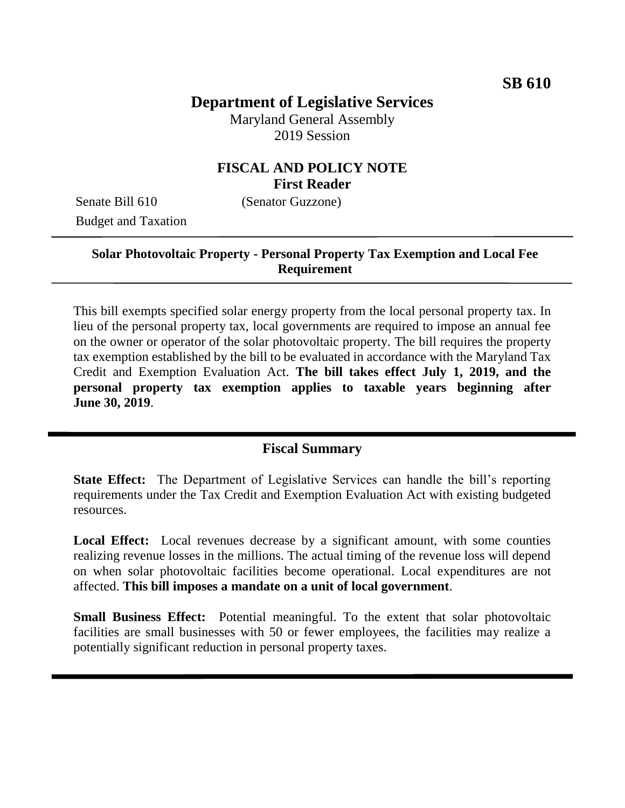# **Department of Legislative Services**

Maryland General Assembly 2019 Session

## **FISCAL AND POLICY NOTE First Reader**

Senate Bill 610 (Senator Guzzone) Budget and Taxation

## **Solar Photovoltaic Property - Personal Property Tax Exemption and Local Fee Requirement**

This bill exempts specified solar energy property from the local personal property tax. In lieu of the personal property tax, local governments are required to impose an annual fee on the owner or operator of the solar photovoltaic property. The bill requires the property tax exemption established by the bill to be evaluated in accordance with the Maryland Tax Credit and Exemption Evaluation Act. **The bill takes effect July 1, 2019, and the personal property tax exemption applies to taxable years beginning after June 30, 2019**.

### **Fiscal Summary**

**State Effect:** The Department of Legislative Services can handle the bill's reporting requirements under the Tax Credit and Exemption Evaluation Act with existing budgeted resources.

Local Effect: Local revenues decrease by a significant amount, with some counties realizing revenue losses in the millions. The actual timing of the revenue loss will depend on when solar photovoltaic facilities become operational. Local expenditures are not affected. **This bill imposes a mandate on a unit of local government**.

**Small Business Effect:** Potential meaningful. To the extent that solar photovoltaic facilities are small businesses with 50 or fewer employees, the facilities may realize a potentially significant reduction in personal property taxes.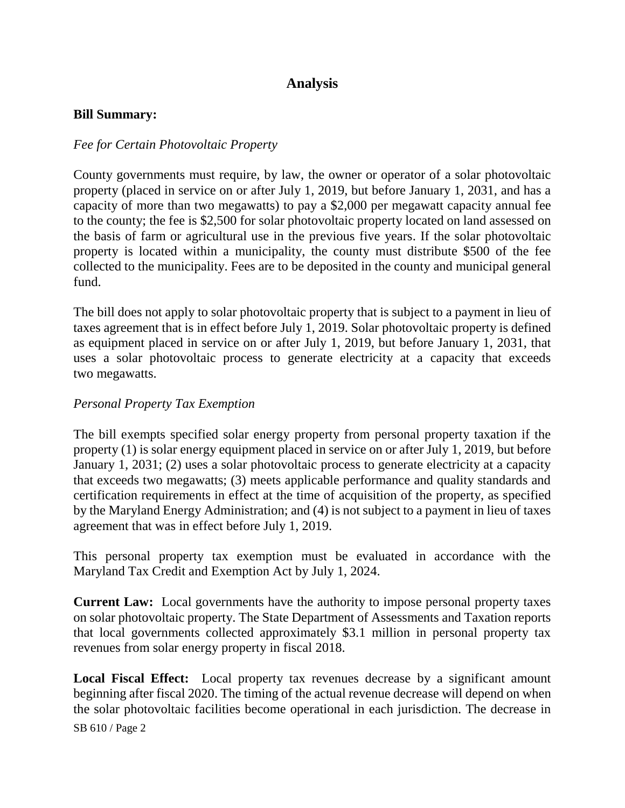## **Analysis**

#### **Bill Summary:**

#### *Fee for Certain Photovoltaic Property*

County governments must require, by law, the owner or operator of a solar photovoltaic property (placed in service on or after July 1, 2019, but before January 1, 2031, and has a capacity of more than two megawatts) to pay a \$2,000 per megawatt capacity annual fee to the county; the fee is \$2,500 for solar photovoltaic property located on land assessed on the basis of farm or agricultural use in the previous five years. If the solar photovoltaic property is located within a municipality, the county must distribute \$500 of the fee collected to the municipality. Fees are to be deposited in the county and municipal general fund.

The bill does not apply to solar photovoltaic property that is subject to a payment in lieu of taxes agreement that is in effect before July 1, 2019. Solar photovoltaic property is defined as equipment placed in service on or after July 1, 2019, but before January 1, 2031, that uses a solar photovoltaic process to generate electricity at a capacity that exceeds two megawatts.

#### *Personal Property Tax Exemption*

The bill exempts specified solar energy property from personal property taxation if the property (1) is solar energy equipment placed in service on or after July 1, 2019, but before January 1, 2031; (2) uses a solar photovoltaic process to generate electricity at a capacity that exceeds two megawatts; (3) meets applicable performance and quality standards and certification requirements in effect at the time of acquisition of the property, as specified by the Maryland Energy Administration; and (4) is not subject to a payment in lieu of taxes agreement that was in effect before July 1, 2019.

This personal property tax exemption must be evaluated in accordance with the Maryland Tax Credit and Exemption Act by July 1, 2024.

**Current Law:** Local governments have the authority to impose personal property taxes on solar photovoltaic property. The State Department of Assessments and Taxation reports that local governments collected approximately \$3.1 million in personal property tax revenues from solar energy property in fiscal 2018.

**Local Fiscal Effect:** Local property tax revenues decrease by a significant amount beginning after fiscal 2020. The timing of the actual revenue decrease will depend on when the solar photovoltaic facilities become operational in each jurisdiction. The decrease in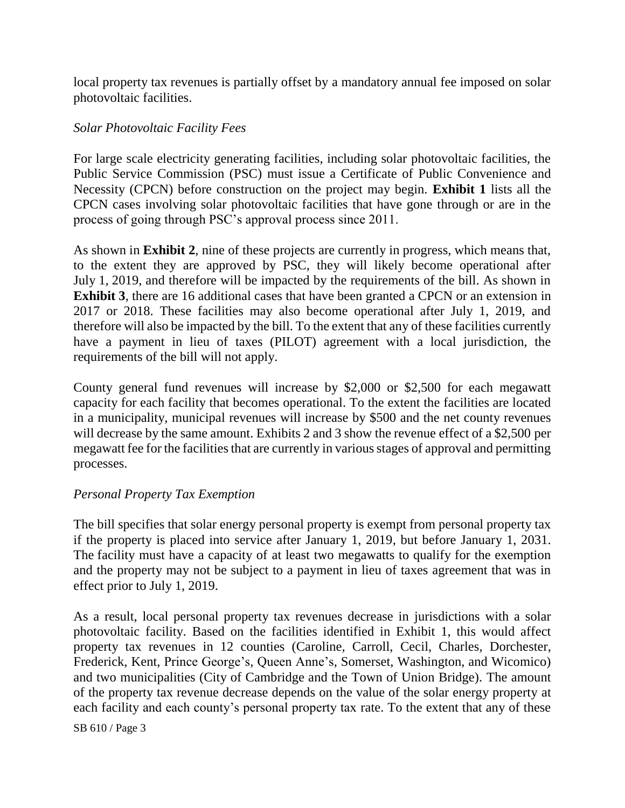local property tax revenues is partially offset by a mandatory annual fee imposed on solar photovoltaic facilities.

#### *Solar Photovoltaic Facility Fees*

For large scale electricity generating facilities, including solar photovoltaic facilities, the Public Service Commission (PSC) must issue a Certificate of Public Convenience and Necessity (CPCN) before construction on the project may begin. **Exhibit 1** lists all the CPCN cases involving solar photovoltaic facilities that have gone through or are in the process of going through PSC's approval process since 2011.

As shown in **Exhibit 2**, nine of these projects are currently in progress, which means that, to the extent they are approved by PSC, they will likely become operational after July 1, 2019, and therefore will be impacted by the requirements of the bill. As shown in **Exhibit 3**, there are 16 additional cases that have been granted a CPCN or an extension in 2017 or 2018. These facilities may also become operational after July 1, 2019, and therefore will also be impacted by the bill. To the extent that any of these facilities currently have a payment in lieu of taxes (PILOT) agreement with a local jurisdiction, the requirements of the bill will not apply.

County general fund revenues will increase by \$2,000 or \$2,500 for each megawatt capacity for each facility that becomes operational. To the extent the facilities are located in a municipality, municipal revenues will increase by \$500 and the net county revenues will decrease by the same amount. Exhibits 2 and 3 show the revenue effect of a \$2,500 per megawatt fee for the facilities that are currently in various stages of approval and permitting processes.

#### *Personal Property Tax Exemption*

The bill specifies that solar energy personal property is exempt from personal property tax if the property is placed into service after January 1, 2019, but before January 1, 2031. The facility must have a capacity of at least two megawatts to qualify for the exemption and the property may not be subject to a payment in lieu of taxes agreement that was in effect prior to July 1, 2019.

As a result, local personal property tax revenues decrease in jurisdictions with a solar photovoltaic facility. Based on the facilities identified in Exhibit 1, this would affect property tax revenues in 12 counties (Caroline, Carroll, Cecil, Charles, Dorchester, Frederick, Kent, Prince George's, Queen Anne's, Somerset, Washington, and Wicomico) and two municipalities (City of Cambridge and the Town of Union Bridge). The amount of the property tax revenue decrease depends on the value of the solar energy property at each facility and each county's personal property tax rate. To the extent that any of these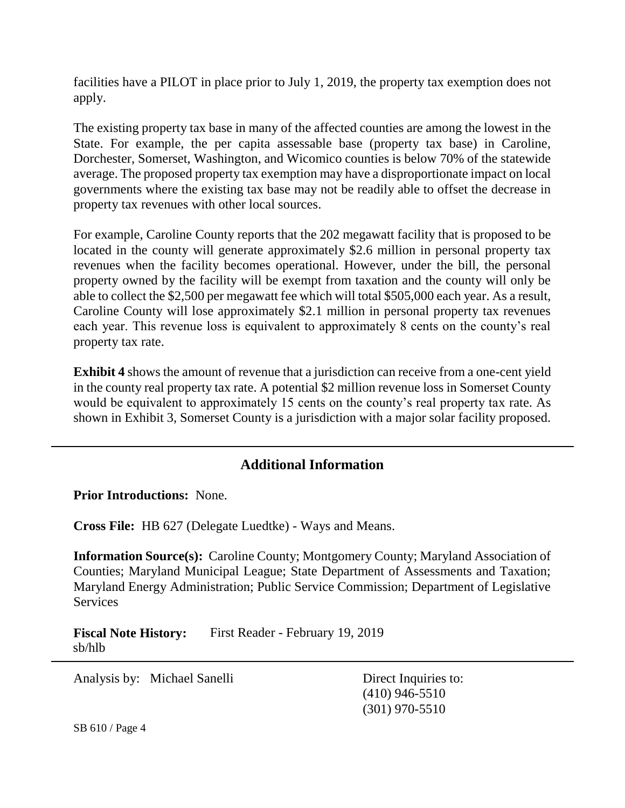facilities have a PILOT in place prior to July 1, 2019, the property tax exemption does not apply.

The existing property tax base in many of the affected counties are among the lowest in the State. For example, the per capita assessable base (property tax base) in Caroline, Dorchester, Somerset, Washington, and Wicomico counties is below 70% of the statewide average. The proposed property tax exemption may have a disproportionate impact on local governments where the existing tax base may not be readily able to offset the decrease in property tax revenues with other local sources.

For example, Caroline County reports that the 202 megawatt facility that is proposed to be located in the county will generate approximately \$2.6 million in personal property tax revenues when the facility becomes operational. However, under the bill, the personal property owned by the facility will be exempt from taxation and the county will only be able to collect the \$2,500 per megawatt fee which will total \$505,000 each year. As a result, Caroline County will lose approximately \$2.1 million in personal property tax revenues each year. This revenue loss is equivalent to approximately 8 cents on the county's real property tax rate.

**Exhibit 4** shows the amount of revenue that a jurisdiction can receive from a one-cent yield in the county real property tax rate. A potential \$2 million revenue loss in Somerset County would be equivalent to approximately 15 cents on the county's real property tax rate. As shown in Exhibit 3, Somerset County is a jurisdiction with a major solar facility proposed.

## **Additional Information**

**Prior Introductions:** None.

**Cross File:** HB 627 (Delegate Luedtke) - Ways and Means.

**Information Source(s):** Caroline County; Montgomery County; Maryland Association of Counties; Maryland Municipal League; State Department of Assessments and Taxation; Maryland Energy Administration; Public Service Commission; Department of Legislative **Services** 

**Fiscal Note History:** First Reader - February 19, 2019 sb/hlb

Analysis by: Michael Sanelli Direct Inquiries to:

(410) 946-5510 (301) 970-5510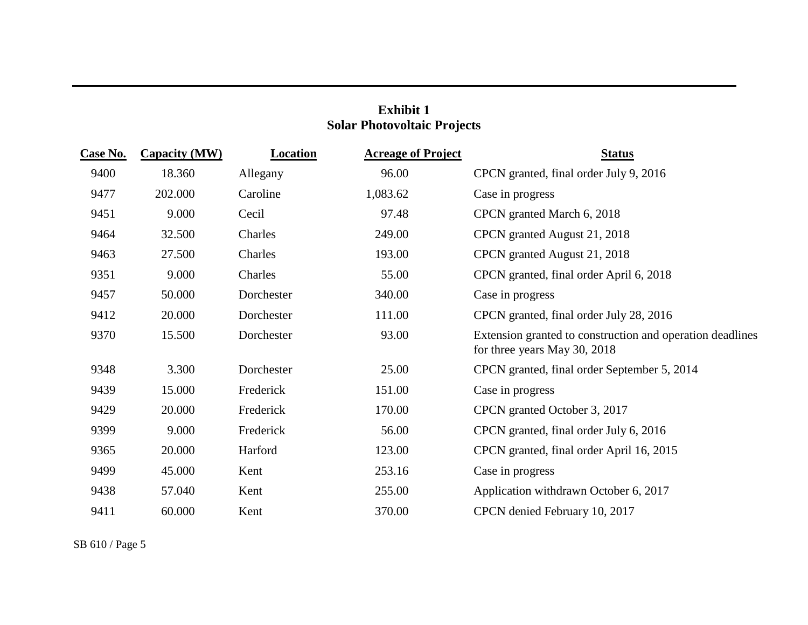# **Exhibit 1 Solar Photovoltaic Projects**

| <u>Case No.</u> | <b>Capacity (MW)</b> | <b>Location</b> | <b>Acreage of Project</b> | <b>Status</b>                                                                             |
|-----------------|----------------------|-----------------|---------------------------|-------------------------------------------------------------------------------------------|
| 9400            | 18.360               | Allegany        | 96.00                     | CPCN granted, final order July 9, 2016                                                    |
| 9477            | 202.000              | Caroline        | 1,083.62                  | Case in progress                                                                          |
| 9451            | 9.000                | Cecil           | 97.48                     | CPCN granted March 6, 2018                                                                |
| 9464            | 32.500               | Charles         | 249.00                    | CPCN granted August 21, 2018                                                              |
| 9463            | 27.500               | Charles         | 193.00                    | CPCN granted August 21, 2018                                                              |
| 9351            | 9.000                | Charles         | 55.00                     | CPCN granted, final order April 6, 2018                                                   |
| 9457            | 50.000               | Dorchester      | 340.00                    | Case in progress                                                                          |
| 9412            | 20.000               | Dorchester      | 111.00                    | CPCN granted, final order July 28, 2016                                                   |
| 9370            | 15.500               | Dorchester      | 93.00                     | Extension granted to construction and operation deadlines<br>for three years May 30, 2018 |
| 9348            | 3.300                | Dorchester      | 25.00                     | CPCN granted, final order September 5, 2014                                               |
| 9439            | 15.000               | Frederick       | 151.00                    | Case in progress                                                                          |
| 9429            | 20.000               | Frederick       | 170.00                    | CPCN granted October 3, 2017                                                              |
| 9399            | 9.000                | Frederick       | 56.00                     | CPCN granted, final order July 6, 2016                                                    |
| 9365            | 20.000               | Harford         | 123.00                    | CPCN granted, final order April 16, 2015                                                  |
| 9499            | 45.000               | Kent            | 253.16                    | Case in progress                                                                          |
| 9438            | 57.040               | Kent            | 255.00                    | Application withdrawn October 6, 2017                                                     |
| 9411            | 60.000               | Kent            | 370.00                    | CPCN denied February 10, 2017                                                             |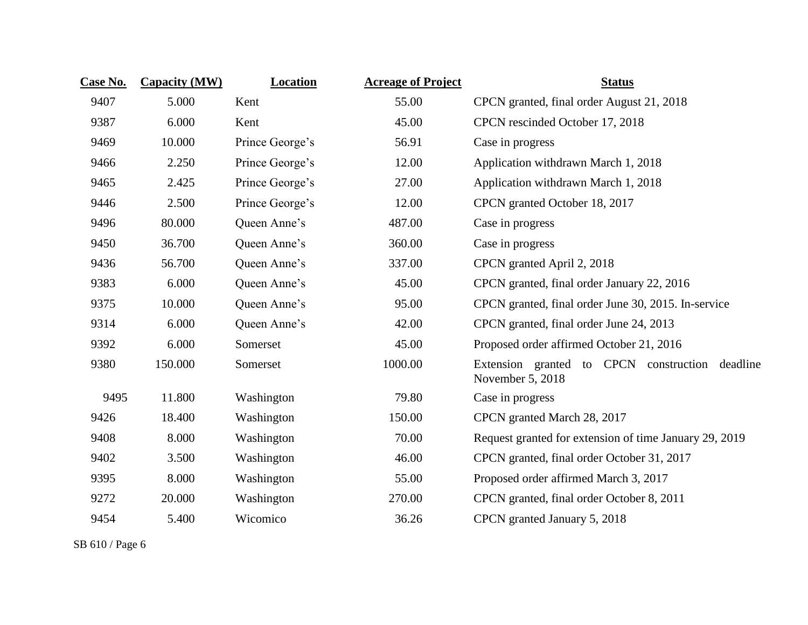| Case No. | <b>Capacity (MW)</b> | Location        | <b>Acreage of Project</b> | <b>Status</b>                                                          |  |  |
|----------|----------------------|-----------------|---------------------------|------------------------------------------------------------------------|--|--|
| 9407     | 5.000                | Kent            | 55.00                     | CPCN granted, final order August 21, 2018                              |  |  |
| 9387     | 6.000                | Kent            | 45.00                     | CPCN rescinded October 17, 2018                                        |  |  |
| 9469     | 10.000               | Prince George's | 56.91                     | Case in progress                                                       |  |  |
| 9466     | 2.250                | Prince George's | 12.00                     | Application withdrawn March 1, 2018                                    |  |  |
| 9465     | 2.425                | Prince George's | 27.00                     | Application withdrawn March 1, 2018                                    |  |  |
| 9446     | 2.500                | Prince George's | 12.00                     | CPCN granted October 18, 2017                                          |  |  |
| 9496     | 80.000               | Queen Anne's    | 487.00                    | Case in progress                                                       |  |  |
| 9450     | 36.700               | Queen Anne's    | 360.00                    | Case in progress                                                       |  |  |
| 9436     | 56.700               | Queen Anne's    | 337.00                    | CPCN granted April 2, 2018                                             |  |  |
| 9383     | 6.000                | Queen Anne's    | 45.00                     | CPCN granted, final order January 22, 2016                             |  |  |
| 9375     | 10.000               | Queen Anne's    | 95.00                     | CPCN granted, final order June 30, 2015. In-service                    |  |  |
| 9314     | 6.000                | Queen Anne's    | 42.00                     | CPCN granted, final order June 24, 2013                                |  |  |
| 9392     | 6.000                | Somerset        | 45.00                     | Proposed order affirmed October 21, 2016                               |  |  |
| 9380     | 150.000              | Somerset        | 1000.00                   | Extension granted to CPCN construction<br>deadline<br>November 5, 2018 |  |  |
| 9495     | 11.800               | Washington      | 79.80                     | Case in progress                                                       |  |  |
| 9426     | 18.400               | Washington      | 150.00                    | CPCN granted March 28, 2017                                            |  |  |
| 9408     | 8.000                | Washington      | 70.00                     | Request granted for extension of time January 29, 2019                 |  |  |
| 9402     | 3.500                | Washington      | 46.00                     | CPCN granted, final order October 31, 2017                             |  |  |
| 9395     | 8.000                | Washington      | 55.00                     | Proposed order affirmed March 3, 2017                                  |  |  |
| 9272     | 20.000               | Washington      | 270.00                    | CPCN granted, final order October 8, 2011                              |  |  |
| 9454     | 5.400                | Wicomico        | 36.26                     | CPCN granted January 5, 2018                                           |  |  |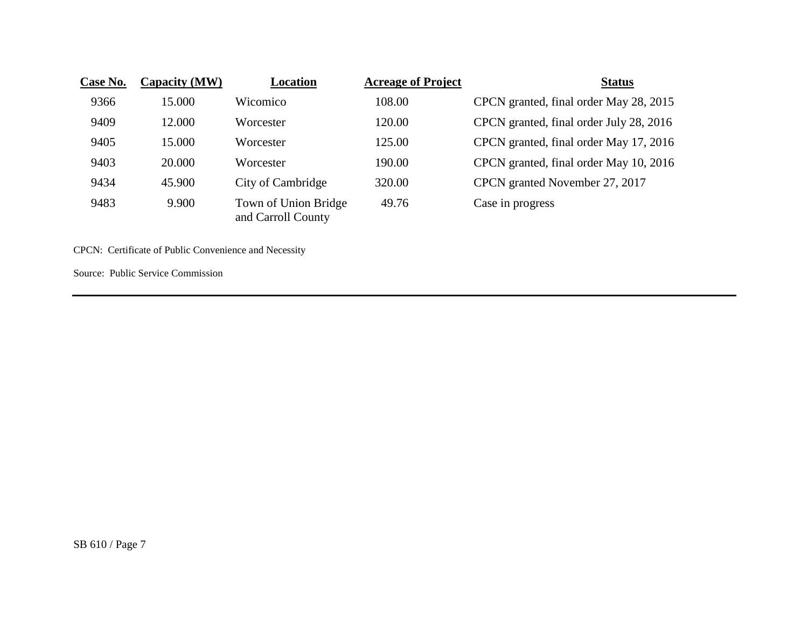| Case No. | Capacity (MW) | Location                                   | <b>Acreage of Project</b> | <b>Status</b>                           |
|----------|---------------|--------------------------------------------|---------------------------|-----------------------------------------|
| 9366     | 15.000        | Wicomico                                   | 108.00                    | CPCN granted, final order May 28, 2015  |
| 9409     | 12.000        | Worcester                                  | 120.00                    | CPCN granted, final order July 28, 2016 |
| 9405     | 15.000        | Worcester                                  | 125.00                    | CPCN granted, final order May 17, 2016  |
| 9403     | 20.000        | Worcester                                  | 190.00                    | CPCN granted, final order May 10, 2016  |
| 9434     | 45.900        | City of Cambridge                          | 320.00                    | CPCN granted November 27, 2017          |
| 9483     | 9.900         | Town of Union Bridge<br>and Carroll County | 49.76                     | Case in progress                        |

CPCN: Certificate of Public Convenience and Necessity

Source: Public Service Commission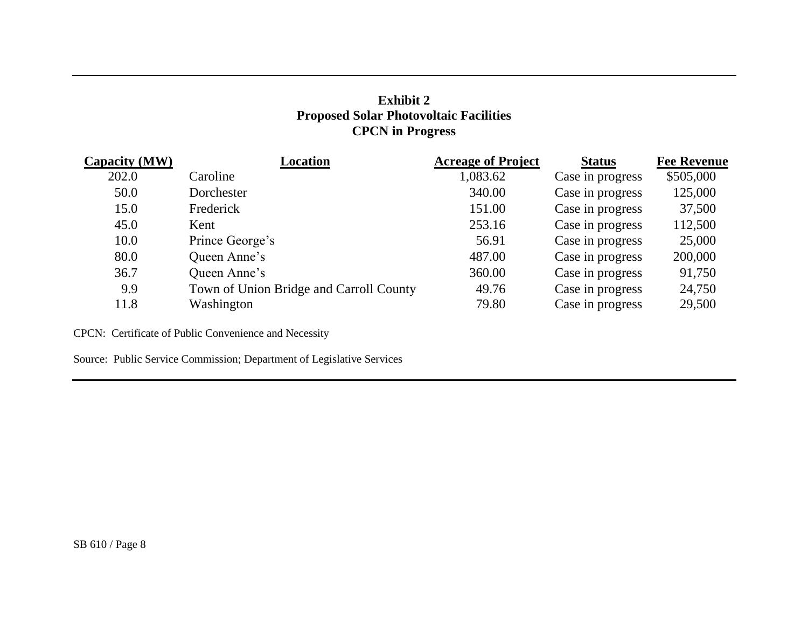## **Exhibit 2 Proposed Solar Photovoltaic Facilities CPCN in Progress**

| Capacity (MW) | <b>Location</b>                         | <b>Acreage of Project</b> | <b>Status</b>    | <b>Fee Revenue</b> |
|---------------|-----------------------------------------|---------------------------|------------------|--------------------|
| 202.0         | Caroline                                | 1,083.62                  | Case in progress | \$505,000          |
| 50.0          | Dorchester                              | 340.00                    | Case in progress | 125,000            |
| 15.0          | Frederick                               | 151.00                    | Case in progress | 37,500             |
| 45.0          | Kent                                    | 253.16                    | Case in progress | 112,500            |
| 10.0          | Prince George's                         | 56.91                     | Case in progress | 25,000             |
| 80.0          | Queen Anne's                            | 487.00                    | Case in progress | 200,000            |
| 36.7          | Queen Anne's                            | 360.00                    | Case in progress | 91,750             |
| 9.9           | Town of Union Bridge and Carroll County | 49.76                     | Case in progress | 24,750             |
| 11.8          | Washington                              | 79.80                     | Case in progress | 29,500             |

CPCN: Certificate of Public Convenience and Necessity

Source: Public Service Commission; Department of Legislative Services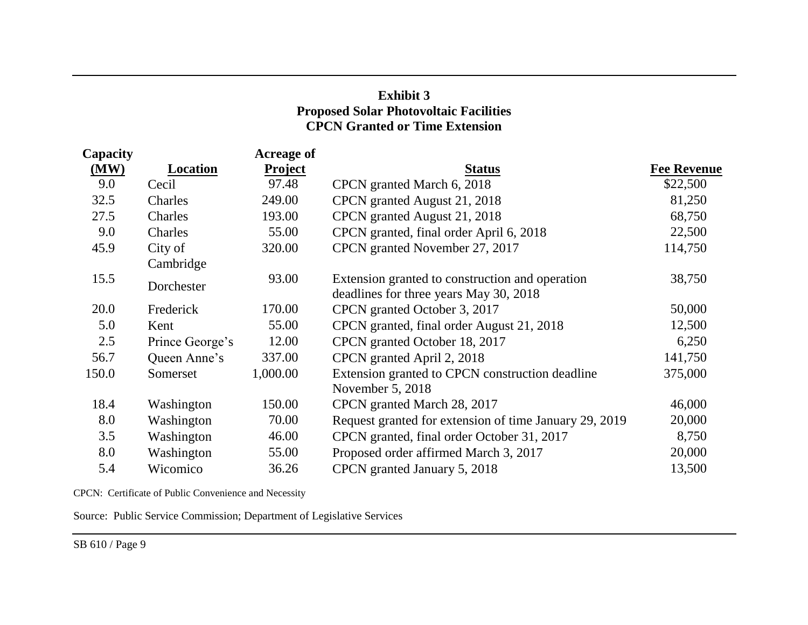## **Exhibit 3 Proposed Solar Photovoltaic Facilities CPCN Granted or Time Extension**

| Capacity |                 | <b>Acreage of</b> |                                                        |                    |
|----------|-----------------|-------------------|--------------------------------------------------------|--------------------|
| (MW)     | Location        | <b>Project</b>    | <b>Status</b>                                          | <b>Fee Revenue</b> |
| 9.0      | Cecil           | 97.48             | CPCN granted March 6, 2018                             | \$22,500           |
| 32.5     | Charles         | 249.00            | CPCN granted August 21, 2018                           | 81,250             |
| 27.5     | Charles         | 193.00            | CPCN granted August 21, 2018                           | 68,750             |
| 9.0      | Charles         | 55.00             | CPCN granted, final order April 6, 2018                | 22,500             |
| 45.9     | City of         | 320.00            | CPCN granted November 27, 2017                         | 114,750            |
|          | Cambridge       |                   |                                                        |                    |
| 15.5     | Dorchester      | 93.00             | Extension granted to construction and operation        | 38,750             |
|          |                 |                   | deadlines for three years May 30, 2018                 |                    |
| 20.0     | Frederick       | 170.00            | CPCN granted October 3, 2017                           | 50,000             |
| 5.0      | Kent            | 55.00             | CPCN granted, final order August 21, 2018              | 12,500             |
| 2.5      | Prince George's | 12.00             | CPCN granted October 18, 2017                          | 6,250              |
| 56.7     | Queen Anne's    | 337.00            | CPCN granted April 2, 2018                             | 141,750            |
| 150.0    | Somerset        | 1,000.00          | Extension granted to CPCN construction deadline        | 375,000            |
|          |                 |                   | November 5, 2018                                       |                    |
| 18.4     | Washington      | 150.00            | CPCN granted March 28, 2017                            | 46,000             |
| 8.0      | Washington      | 70.00             | Request granted for extension of time January 29, 2019 | 20,000             |
| 3.5      | Washington      | 46.00             | CPCN granted, final order October 31, 2017             | 8,750              |
| 8.0      | Washington      | 55.00             | Proposed order affirmed March 3, 2017                  | 20,000             |
| 5.4      | Wicomico        | 36.26             | CPCN granted January 5, 2018                           | 13,500             |
|          |                 |                   |                                                        |                    |

CPCN: Certificate of Public Convenience and Necessity

Source: Public Service Commission; Department of Legislative Services